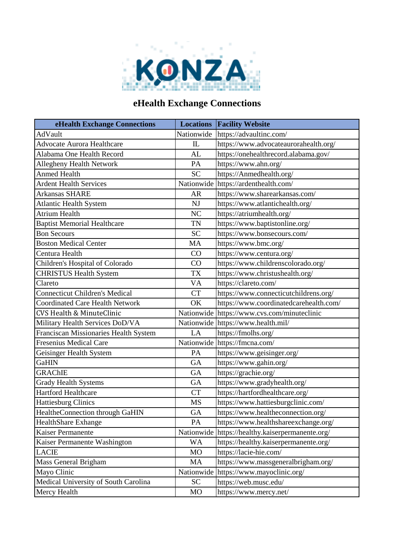

## **eHealth Exchange Connections**

| eHealth Exchange Connections           |              | <b>Locations Facility Website</b>                |
|----------------------------------------|--------------|--------------------------------------------------|
| AdVault                                | Nationwide   | https://advaultinc.com/                          |
| <b>Advocate Aurora Healthcare</b>      | $\mathbb{L}$ | https://www.advocateaurorahealth.org/            |
| Alabama One Health Record              | AL           | https://onehealthrecord.alabama.gov/             |
| <b>Allegheny Health Network</b>        | PA           | https://www.ahn.org/                             |
| <b>Anmed Health</b>                    | <b>SC</b>    | https://Anmedhealth.org/                         |
| <b>Ardent Health Services</b>          |              | Nationwide https://ardenthealth.com/             |
| Arkansas SHARE                         | AR           | https://www.sharearkansas.com/                   |
| <b>Atlantic Health System</b>          | NJ           | https://www.atlantichealth.org/                  |
| Atrium Health                          | NC           | https://atriumhealth.org/                        |
| <b>Baptist Memorial Healthcare</b>     | <b>TN</b>    | https://www.baptistonline.org/                   |
| <b>Bon Secours</b>                     | <b>SC</b>    | https://www.bonsecours.com/                      |
| <b>Boston Medical Center</b>           | MA           | https://www.bmc.org/                             |
| Centura Health                         | CO           | https://www.centura.org/                         |
| Children's Hospital of Colorado        | CO           | https://www.childrenscolorado.org/               |
| <b>CHRISTUS Health System</b>          | <b>TX</b>    | https://www.christushealth.org/                  |
| Clareto                                | <b>VA</b>    | https://clareto.com/                             |
| <b>Connecticut Children's Medical</b>  | <b>CT</b>    | https://www.connecticutchildrens.org/            |
| <b>Coordinated Care Health Network</b> | OK           | https://www.coordinatedcarehealth.com/           |
| <b>CVS Health &amp; MinuteClinic</b>   |              | Nationwide https://www.cvs.com/minuteclinic      |
| Military Health Services DoD/VA        |              | Nationwide https://www.health.mil/               |
| Franciscan Missionaries Health System  | LA           | https://fmolhs.org/                              |
| Fresenius Medical Care                 |              | Nationwide https://fmcna.com/                    |
| Geisinger Health System                | PA           | https://www.geisinger.org/                       |
| GaHIN                                  | <b>GA</b>    | https://www.gahin.org/                           |
| <b>GRAChIE</b>                         | GA           | https://grachie.org/                             |
| <b>Grady Health Systems</b>            | ${\rm GA}$   | https://www.gradyhealth.org/                     |
| Hartford Healthcare                    | <b>CT</b>    | https://hartfordhealthcare.org/                  |
| <b>Hattiesburg Clinics</b>             | MS           | https://www.hattiesburgclinic.com/               |
| HealtheConnection through GaHIN        | <b>GA</b>    | https://www.healtheconnection.org/               |
| <b>HealthShare Exhange</b>             | PA           | https://www.healthshareexchange.org/             |
| Kaiser Permanente                      |              | Nationwide https://healthy.kaiserpermanente.org/ |
| Kaiser Permanente Washington           | <b>WA</b>    | https://healthy.kaiserpermanente.org/            |
| <b>LACIE</b>                           | MO           | https://lacie-hie.com/                           |
| Mass General Brigham                   | MA           | https://www.massgeneralbrigham.org/              |
| Mayo Clinic                            | Nationwide   | https://www.mayoclinic.org/                      |
| Medical University of South Carolina   | <b>SC</b>    | https://web.musc.edu/                            |
| Mercy Health                           | MO           | https://www.mercy.net/                           |